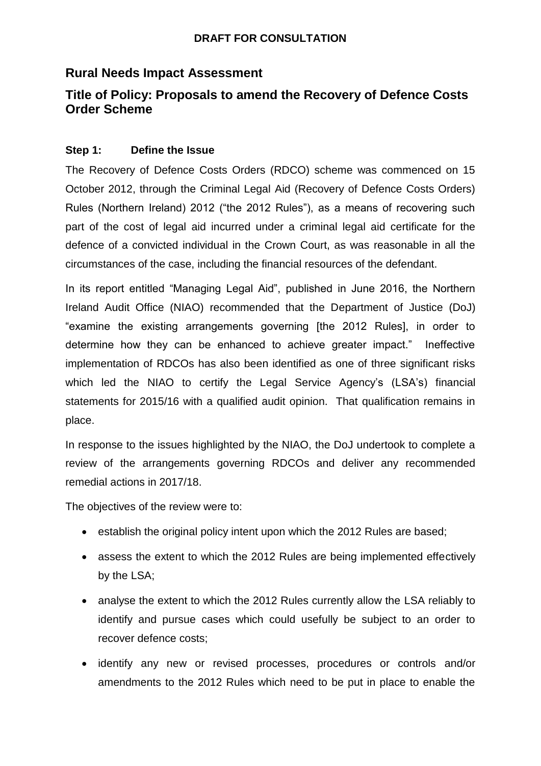## **Rural Needs Impact Assessment**

# **Title of Policy: Proposals to amend the Recovery of Defence Costs Order Scheme**

## **Step 1: Define the Issue**

The Recovery of Defence Costs Orders (RDCO) scheme was commenced on 15 October 2012, through the Criminal Legal Aid (Recovery of Defence Costs Orders) Rules (Northern Ireland) 2012 ("the 2012 Rules"), as a means of recovering such part of the cost of legal aid incurred under a criminal legal aid certificate for the defence of a convicted individual in the Crown Court, as was reasonable in all the circumstances of the case, including the financial resources of the defendant.

In its report entitled "Managing Legal Aid", published in June 2016, the Northern Ireland Audit Office (NIAO) recommended that the Department of Justice (DoJ) "examine the existing arrangements governing [the 2012 Rules], in order to determine how they can be enhanced to achieve greater impact." Ineffective implementation of RDCOs has also been identified as one of three significant risks which led the NIAO to certify the Legal Service Agency's (LSA's) financial statements for 2015/16 with a qualified audit opinion. That qualification remains in place.

In response to the issues highlighted by the NIAO, the DoJ undertook to complete a review of the arrangements governing RDCOs and deliver any recommended remedial actions in 2017/18.

The objectives of the review were to:

- establish the original policy intent upon which the 2012 Rules are based;
- assess the extent to which the 2012 Rules are being implemented effectively by the LSA;
- analyse the extent to which the 2012 Rules currently allow the LSA reliably to identify and pursue cases which could usefully be subject to an order to recover defence costs;
- identify any new or revised processes, procedures or controls and/or amendments to the 2012 Rules which need to be put in place to enable the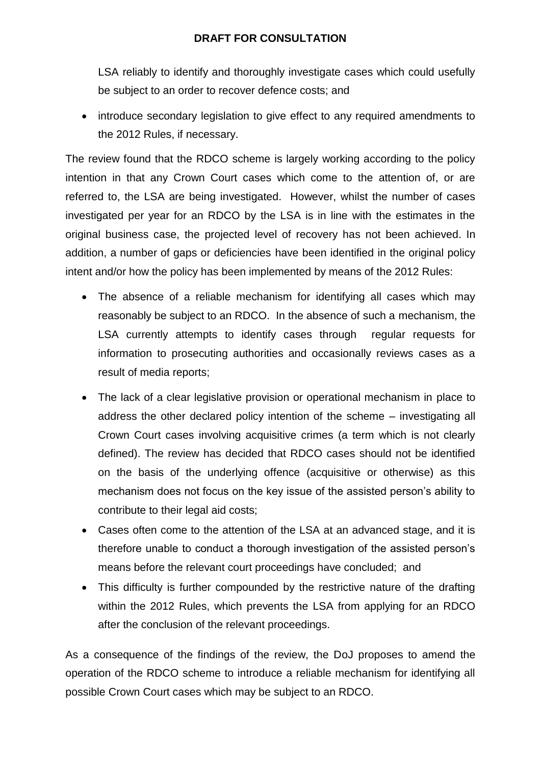LSA reliably to identify and thoroughly investigate cases which could usefully be subject to an order to recover defence costs; and

• introduce secondary legislation to give effect to any required amendments to the 2012 Rules, if necessary.

The review found that the RDCO scheme is largely working according to the policy intention in that any Crown Court cases which come to the attention of, or are referred to, the LSA are being investigated. However, whilst the number of cases investigated per year for an RDCO by the LSA is in line with the estimates in the original business case, the projected level of recovery has not been achieved. In addition, a number of gaps or deficiencies have been identified in the original policy intent and/or how the policy has been implemented by means of the 2012 Rules:

- The absence of a reliable mechanism for identifying all cases which may reasonably be subject to an RDCO. In the absence of such a mechanism, the LSA currently attempts to identify cases through regular requests for information to prosecuting authorities and occasionally reviews cases as a result of media reports;
- The lack of a clear legislative provision or operational mechanism in place to address the other declared policy intention of the scheme – investigating all Crown Court cases involving acquisitive crimes (a term which is not clearly defined). The review has decided that RDCO cases should not be identified on the basis of the underlying offence (acquisitive or otherwise) as this mechanism does not focus on the key issue of the assisted person's ability to contribute to their legal aid costs;
- Cases often come to the attention of the LSA at an advanced stage, and it is therefore unable to conduct a thorough investigation of the assisted person's means before the relevant court proceedings have concluded; and
- This difficulty is further compounded by the restrictive nature of the drafting within the 2012 Rules, which prevents the LSA from applying for an RDCO after the conclusion of the relevant proceedings.

As a consequence of the findings of the review, the DoJ proposes to amend the operation of the RDCO scheme to introduce a reliable mechanism for identifying all possible Crown Court cases which may be subject to an RDCO.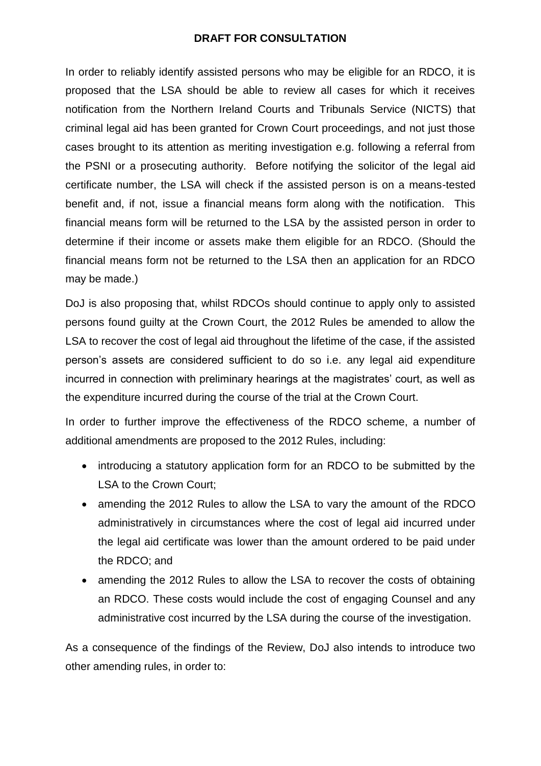In order to reliably identify assisted persons who may be eligible for an RDCO, it is proposed that the LSA should be able to review all cases for which it receives notification from the Northern Ireland Courts and Tribunals Service (NICTS) that criminal legal aid has been granted for Crown Court proceedings, and not just those cases brought to its attention as meriting investigation e.g. following a referral from the PSNI or a prosecuting authority. Before notifying the solicitor of the legal aid certificate number, the LSA will check if the assisted person is on a means-tested benefit and, if not, issue a financial means form along with the notification. This financial means form will be returned to the LSA by the assisted person in order to determine if their income or assets make them eligible for an RDCO. (Should the financial means form not be returned to the LSA then an application for an RDCO may be made.)

DoJ is also proposing that, whilst RDCOs should continue to apply only to assisted persons found guilty at the Crown Court, the 2012 Rules be amended to allow the LSA to recover the cost of legal aid throughout the lifetime of the case, if the assisted person's assets are considered sufficient to do so i.e. any legal aid expenditure incurred in connection with preliminary hearings at the magistrates' court, as well as the expenditure incurred during the course of the trial at the Crown Court.

In order to further improve the effectiveness of the RDCO scheme, a number of additional amendments are proposed to the 2012 Rules, including:

- introducing a statutory application form for an RDCO to be submitted by the LSA to the Crown Court;
- amending the 2012 Rules to allow the LSA to vary the amount of the RDCO administratively in circumstances where the cost of legal aid incurred under the legal aid certificate was lower than the amount ordered to be paid under the RDCO; and
- amending the 2012 Rules to allow the LSA to recover the costs of obtaining an RDCO. These costs would include the cost of engaging Counsel and any administrative cost incurred by the LSA during the course of the investigation.

As a consequence of the findings of the Review, DoJ also intends to introduce two other amending rules, in order to: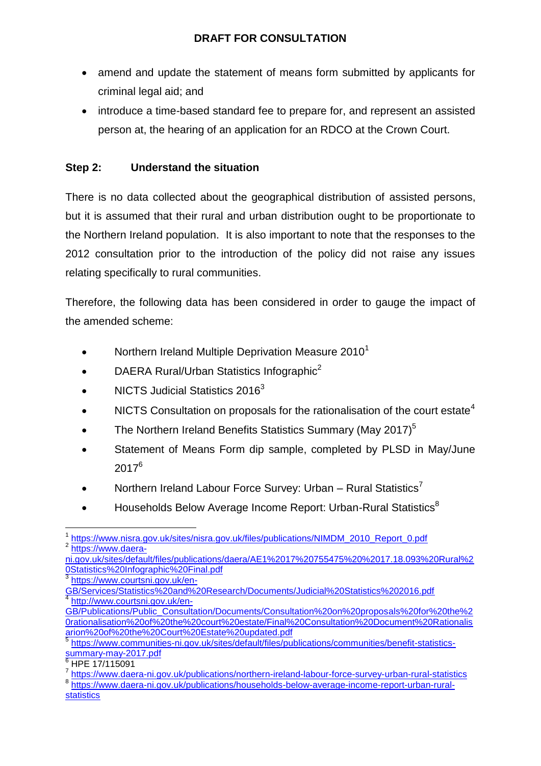- amend and update the statement of means form submitted by applicants for criminal legal aid; and
- introduce a time-based standard fee to prepare for, and represent an assisted person at, the hearing of an application for an RDCO at the Crown Court.

## **Step 2: Understand the situation**

There is no data collected about the geographical distribution of assisted persons, but it is assumed that their rural and urban distribution ought to be proportionate to the Northern Ireland population. It is also important to note that the responses to the 2012 consultation prior to the introduction of the policy did not raise any issues relating specifically to rural communities.

Therefore, the following data has been considered in order to gauge the impact of the amended scheme:

- Northern Ireland Multiple Deprivation Measure 2010<sup>1</sup>
- DAERA Rural/Urban Statistics Infographic<sup>2</sup>
- NICTS Judicial Statistics 2016<sup>3</sup>
- NICTS Consultation on proposals for the rationalisation of the court estate<sup>4</sup>
- The Northern Ireland Benefits Statistics Summary (May 2017) $^5$
- Statement of Means Form dip sample, completed by PLSD in May/June 2017<sup>6</sup>
- Northern Ireland Labour Force Survey: Urban Rural Statistics<sup>7</sup>
- $\bullet$  Households Below Average Income Report: Urban-Rural Statistics<sup>8</sup>

<sup>3</sup> [https://www.courtsni.gov.uk/en-](https://www.courtsni.gov.uk/en-GB/Services/Statistics%20and%20Research/Documents/Judicial%20Statistics%202016.pdf)

 $6$  HPE 17/115091

<sup>1</sup> 1 [https://www.nisra.gov.uk/sites/nisra.gov.uk/files/publications/NIMDM\\_2010\\_Report\\_0.pdf](https://www.nisra.gov.uk/sites/nisra.gov.uk/files/publications/NIMDM_2010_Report_0.pdf) <sup>2</sup> [https://www.daera-](https://www.daera-ni.gov.uk/sites/default/files/publications/daera/AE1%2017%20755475%20%2017.18.093%20Rural%20Statistics%20Infographic%20Final.pdf)

[ni.gov.uk/sites/default/files/publications/daera/AE1%2017%20755475%20%2017.18.093%20Rural%2](https://www.daera-ni.gov.uk/sites/default/files/publications/daera/AE1%2017%20755475%20%2017.18.093%20Rural%20Statistics%20Infographic%20Final.pdf) [0Statistics%20Infographic%20Final.pdf](https://www.daera-ni.gov.uk/sites/default/files/publications/daera/AE1%2017%20755475%20%2017.18.093%20Rural%20Statistics%20Infographic%20Final.pdf)

[GB/Services/Statistics%20and%20Research/Documents/Judicial%20Statistics%202016.pdf](https://www.courtsni.gov.uk/en-GB/Services/Statistics%20and%20Research/Documents/Judicial%20Statistics%202016.pdf)<br>4 http://www.courteni.gov.uk/on [http://www.courtsni.gov.uk/en-](http://www.courtsni.gov.uk/en-GB/Publications/Public_Consultation/Documents/Consultation%20on%20proposals%20for%20the%20rationalisation%20of%20the%20court%20estate/Final%20Consultation%20Document%20Rationalisarion%20of%20the%20Court%20Estate%20updated.pdf)

[GB/Publications/Public\\_Consultation/Documents/Consultation%20on%20proposals%20for%20the%2](http://www.courtsni.gov.uk/en-GB/Publications/Public_Consultation/Documents/Consultation%20on%20proposals%20for%20the%20rationalisation%20of%20the%20court%20estate/Final%20Consultation%20Document%20Rationalisarion%20of%20the%20Court%20Estate%20updated.pdf) [0rationalisation%20of%20the%20court%20estate/Final%20Consultation%20Document%20Rationalis](http://www.courtsni.gov.uk/en-GB/Publications/Public_Consultation/Documents/Consultation%20on%20proposals%20for%20the%20rationalisation%20of%20the%20court%20estate/Final%20Consultation%20Document%20Rationalisarion%20of%20the%20Court%20Estate%20updated.pdf) [arion%20of%20the%20Court%20Estate%20updated.pdf](http://www.courtsni.gov.uk/en-GB/Publications/Public_Consultation/Documents/Consultation%20on%20proposals%20for%20the%20rationalisation%20of%20the%20court%20estate/Final%20Consultation%20Document%20Rationalisarion%20of%20the%20Court%20Estate%20updated.pdf)

<sup>&</sup>lt;sup>5</sup> [https://www.communities-ni.gov.uk/sites/default/files/publications/communities/benefit-statistics](https://www.communities-ni.gov.uk/sites/default/files/publications/communities/benefit-statistics-summary-may-2017.pdf)[summary-may-2017.pdf](https://www.communities-ni.gov.uk/sites/default/files/publications/communities/benefit-statistics-summary-may-2017.pdf)

<sup>&</sup>lt;sup>7</sup> <https://www.daera-ni.gov.uk/publications/northern-ireland-labour-force-survey-urban-rural-statistics>

<sup>&</sup>lt;sup>8</sup> [https://www.daera-ni.gov.uk/publications/households-below-average-income-report-urban-rural](https://www.daera-ni.gov.uk/publications/households-below-average-income-report-urban-rural-statistics)[statistics](https://www.daera-ni.gov.uk/publications/households-below-average-income-report-urban-rural-statistics)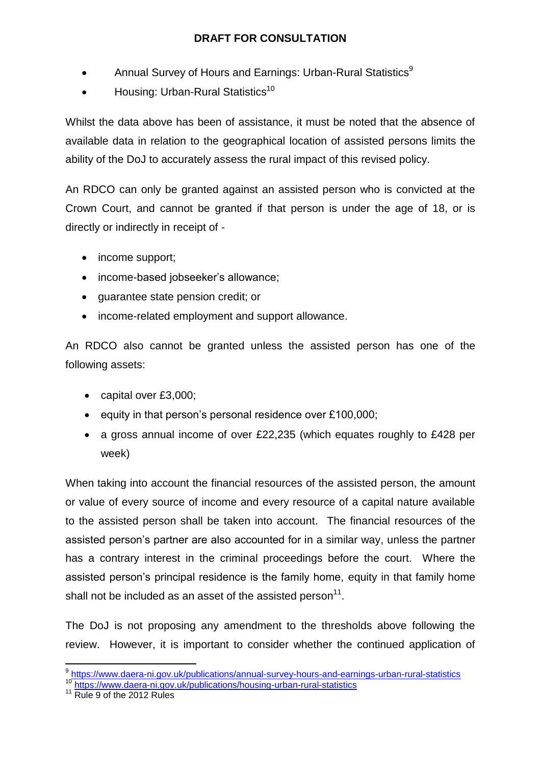- **•** Annual Survey of Hours and Earnings: Urban-Rural Statistics<sup>9</sup>
- Housing: Urban-Rural Statistics<sup>10</sup>

Whilst the data above has been of assistance, it must be noted that the absence of available data in relation to the geographical location of assisted persons limits the ability of the DoJ to accurately assess the rural impact of this revised policy.

An RDCO can only be granted against an assisted person who is convicted at the Crown Court, and cannot be granted if that person is under the age of 18, or is directly or indirectly in receipt of -

- income support;
- income-based jobseeker's allowance;
- guarantee state pension credit; or
- income-related employment and support allowance.

An RDCO also cannot be granted unless the assisted person has one of the following assets:

- capital over £3,000;
- equity in that person's personal residence over  $£100,000;$
- a gross annual income of over £22,235 (which equates roughly to £428 per week)

When taking into account the financial resources of the assisted person, the amount or value of every source of income and every resource of a capital nature available to the assisted person shall be taken into account. The financial resources of the assisted person's partner are also accounted for in a similar way, unless the partner has a contrary interest in the criminal proceedings before the court. Where the assisted person's principal residence is the family home, equity in that family home shall not be included as an asset of the assisted person $^{11}$ .

The DoJ is not proposing any amendment to the thresholds above following the review. However, it is important to consider whether the continued application of

 9 <https://www.daera-ni.gov.uk/publications/annual-survey-hours-and-earnings-urban-rural-statistics>

<sup>10</sup> <https://www.daera-ni.gov.uk/publications/housing-urban-rural-statistics>

<sup>&</sup>lt;sup>11</sup> Rule 9 of the 2012 Rules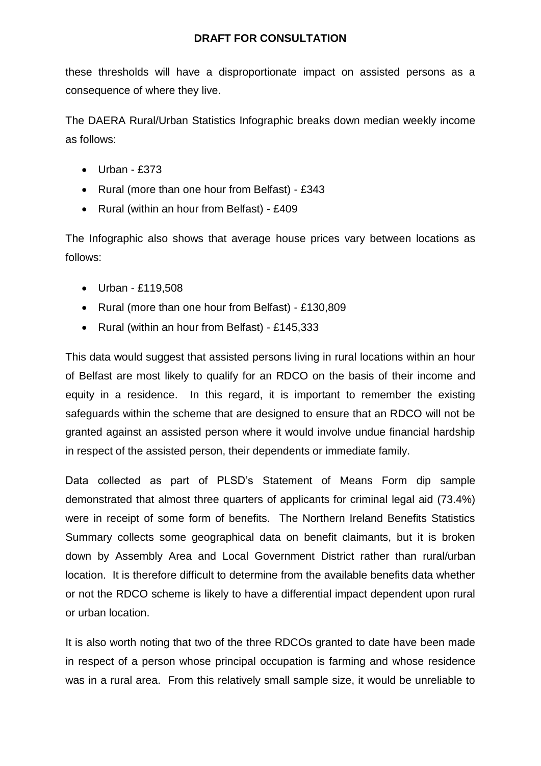these thresholds will have a disproportionate impact on assisted persons as a consequence of where they live.

The DAERA Rural/Urban Statistics Infographic breaks down median weekly income as follows:

- $\bullet$  Urban £373
- Rural (more than one hour from Belfast) £343
- Rural (within an hour from Belfast) £409

The Infographic also shows that average house prices vary between locations as follows:

- Urban £119,508
- Rural (more than one hour from Belfast) £130,809
- Rural (within an hour from Belfast) £145,333

This data would suggest that assisted persons living in rural locations within an hour of Belfast are most likely to qualify for an RDCO on the basis of their income and equity in a residence. In this regard, it is important to remember the existing safeguards within the scheme that are designed to ensure that an RDCO will not be granted against an assisted person where it would involve undue financial hardship in respect of the assisted person, their dependents or immediate family.

Data collected as part of PLSD's Statement of Means Form dip sample demonstrated that almost three quarters of applicants for criminal legal aid (73.4%) were in receipt of some form of benefits. The Northern Ireland Benefits Statistics Summary collects some geographical data on benefit claimants, but it is broken down by Assembly Area and Local Government District rather than rural/urban location. It is therefore difficult to determine from the available benefits data whether or not the RDCO scheme is likely to have a differential impact dependent upon rural or urban location.

It is also worth noting that two of the three RDCOs granted to date have been made in respect of a person whose principal occupation is farming and whose residence was in a rural area. From this relatively small sample size, it would be unreliable to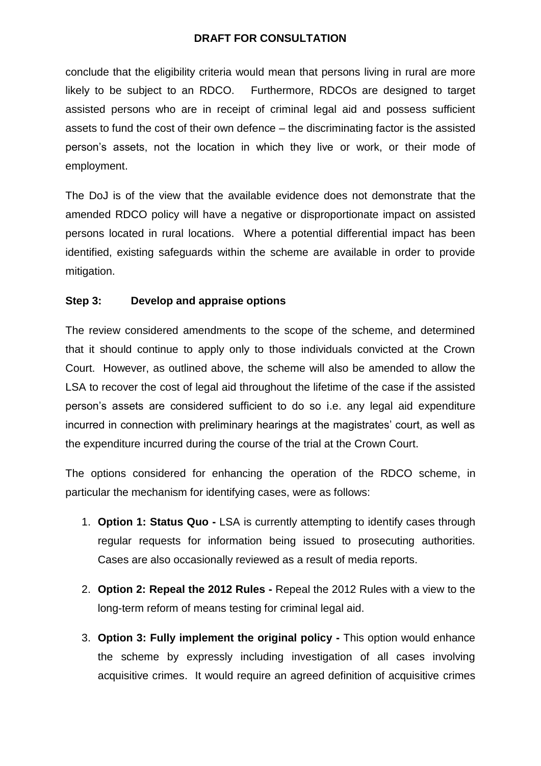conclude that the eligibility criteria would mean that persons living in rural are more likely to be subject to an RDCO. Furthermore, RDCOs are designed to target assisted persons who are in receipt of criminal legal aid and possess sufficient assets to fund the cost of their own defence – the discriminating factor is the assisted person's assets, not the location in which they live or work, or their mode of employment.

The DoJ is of the view that the available evidence does not demonstrate that the amended RDCO policy will have a negative or disproportionate impact on assisted persons located in rural locations. Where a potential differential impact has been identified, existing safeguards within the scheme are available in order to provide mitigation.

## **Step 3: Develop and appraise options**

The review considered amendments to the scope of the scheme, and determined that it should continue to apply only to those individuals convicted at the Crown Court. However, as outlined above, the scheme will also be amended to allow the LSA to recover the cost of legal aid throughout the lifetime of the case if the assisted person's assets are considered sufficient to do so i.e. any legal aid expenditure incurred in connection with preliminary hearings at the magistrates' court, as well as the expenditure incurred during the course of the trial at the Crown Court.

The options considered for enhancing the operation of the RDCO scheme, in particular the mechanism for identifying cases, were as follows:

- 1. **Option 1: Status Quo -** LSA is currently attempting to identify cases through regular requests for information being issued to prosecuting authorities. Cases are also occasionally reviewed as a result of media reports.
- 2. **Option 2: Repeal the 2012 Rules -** Repeal the 2012 Rules with a view to the long-term reform of means testing for criminal legal aid.
- 3. **Option 3: Fully implement the original policy -** This option would enhance the scheme by expressly including investigation of all cases involving acquisitive crimes. It would require an agreed definition of acquisitive crimes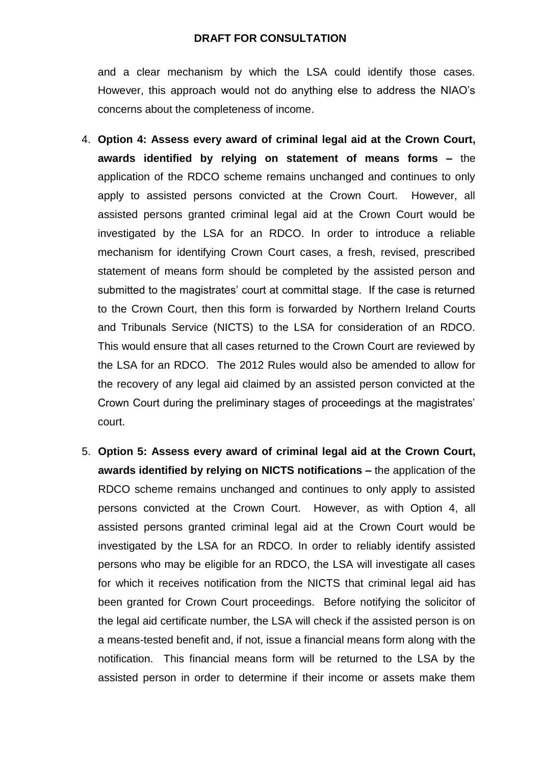and a clear mechanism by which the LSA could identify those cases. However, this approach would not do anything else to address the NIAO's concerns about the completeness of income.

- 4. **Option 4: Assess every award of criminal legal aid at the Crown Court, awards identified by relying on statement of means forms –** the application of the RDCO scheme remains unchanged and continues to only apply to assisted persons convicted at the Crown Court. However, all assisted persons granted criminal legal aid at the Crown Court would be investigated by the LSA for an RDCO. In order to introduce a reliable mechanism for identifying Crown Court cases, a fresh, revised, prescribed statement of means form should be completed by the assisted person and submitted to the magistrates' court at committal stage. If the case is returned to the Crown Court, then this form is forwarded by Northern Ireland Courts and Tribunals Service (NICTS) to the LSA for consideration of an RDCO. This would ensure that all cases returned to the Crown Court are reviewed by the LSA for an RDCO. The 2012 Rules would also be amended to allow for the recovery of any legal aid claimed by an assisted person convicted at the Crown Court during the preliminary stages of proceedings at the magistrates' court.
- 5. **Option 5: Assess every award of criminal legal aid at the Crown Court, awards identified by relying on NICTS notifications –** the application of the RDCO scheme remains unchanged and continues to only apply to assisted persons convicted at the Crown Court. However, as with Option 4, all assisted persons granted criminal legal aid at the Crown Court would be investigated by the LSA for an RDCO. In order to reliably identify assisted persons who may be eligible for an RDCO, the LSA will investigate all cases for which it receives notification from the NICTS that criminal legal aid has been granted for Crown Court proceedings. Before notifying the solicitor of the legal aid certificate number, the LSA will check if the assisted person is on a means-tested benefit and, if not, issue a financial means form along with the notification. This financial means form will be returned to the LSA by the assisted person in order to determine if their income or assets make them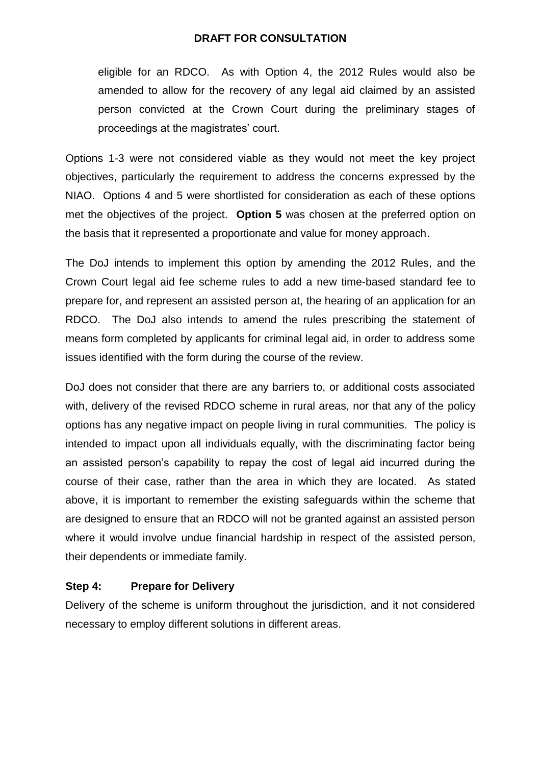eligible for an RDCO. As with Option 4, the 2012 Rules would also be amended to allow for the recovery of any legal aid claimed by an assisted person convicted at the Crown Court during the preliminary stages of proceedings at the magistrates' court.

Options 1-3 were not considered viable as they would not meet the key project objectives, particularly the requirement to address the concerns expressed by the NIAO. Options 4 and 5 were shortlisted for consideration as each of these options met the objectives of the project. **Option 5** was chosen at the preferred option on the basis that it represented a proportionate and value for money approach.

The DoJ intends to implement this option by amending the 2012 Rules, and the Crown Court legal aid fee scheme rules to add a new time-based standard fee to prepare for, and represent an assisted person at, the hearing of an application for an RDCO. The DoJ also intends to amend the rules prescribing the statement of means form completed by applicants for criminal legal aid, in order to address some issues identified with the form during the course of the review.

DoJ does not consider that there are any barriers to, or additional costs associated with, delivery of the revised RDCO scheme in rural areas, nor that any of the policy options has any negative impact on people living in rural communities. The policy is intended to impact upon all individuals equally, with the discriminating factor being an assisted person's capability to repay the cost of legal aid incurred during the course of their case, rather than the area in which they are located. As stated above, it is important to remember the existing safeguards within the scheme that are designed to ensure that an RDCO will not be granted against an assisted person where it would involve undue financial hardship in respect of the assisted person, their dependents or immediate family.

## **Step 4: Prepare for Delivery**

Delivery of the scheme is uniform throughout the jurisdiction, and it not considered necessary to employ different solutions in different areas.